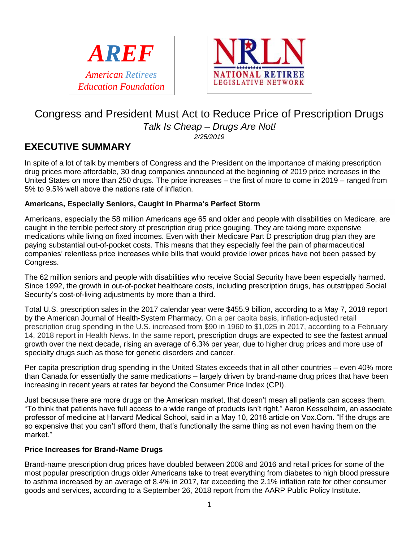



# Congress and President Must Act to Reduce Price of Prescription Drugs *Talk Is Cheap – Drugs Are Not!*

*2/25/2019*

# **EXECUTIVE SUMMARY**

In spite of a lot of talk by members of Congress and the President on the importance of making prescription drug prices more affordable, 30 drug companies announced at the beginning of 2019 price increases in the United States on more than 250 drugs. The price increases – the first of more to come in 2019 – ranged from 5% to 9.5% well above the nations rate of inflation.

# **Americans, Especially Seniors, Caught in Pharma's Perfect Storm**

Americans, especially the 58 million Americans age 65 and older and people with disabilities on Medicare, are caught in the terrible perfect story of prescription drug price gouging. They are taking more expensive medications while living on fixed incomes. Even with their Medicare Part D prescription drug plan they are paying substantial out-of-pocket costs. This means that they especially feel the pain of pharmaceutical companies' relentless price increases while bills that would provide lower prices have not been passed by Congress.

The 62 million seniors and people with disabilities who receive Social Security have been especially harmed. Since 1992, the growth in out-of-pocket healthcare costs, including prescription drugs, has outstripped Social Security's cost-of-living adjustments by more than a third.

Total U.S. prescription sales in the 2017 calendar year were \$455.9 billion, according to a May 7, 2018 report by the American Journal of Health-System Pharmacy. On a per capita basis, inflation-adjusted retail prescription drug spending in the U.S. increased from \$90 in 1960 to \$1,025 in 2017, according to a February 14, 2018 report in Health News. In the same report, prescription drugs are expected to see the fastest annual growth over the next decade, rising an average of 6.3% per year, due to higher drug prices and more use of specialty drugs such as those for genetic disorders and cancer.

Per capita prescription drug spending in the United States exceeds that in all other countries – even 40% more than Canada for essentially the same medications – largely driven by brand-name drug prices that have been increasing in recent years at rates far beyond the Consumer Price Index (CPI).

Just because there are more drugs on the American market, that doesn't mean all patients can access them. "To think that patients have full access to a wide range of products isn't right," Aaron Kesselheim, an associate professor of medicine at Harvard Medical School, said in a May 10, 2018 article on Vox.Com. "If the drugs are so expensive that you can't afford them, that's functionally the same thing as not even having them on the market."

# **Price Increases for Brand-Name Drugs**

Brand-name prescription drug prices have doubled between 2008 and 2016 and retail prices for some of the most popular prescription drugs older Americans take to treat everything from diabetes to high blood pressure to asthma increased by an average of 8.4% in 2017, far exceeding the 2.1% inflation rate for other consumer goods and services, according to a September 26, 2018 report from the AARP Public Policy Institute.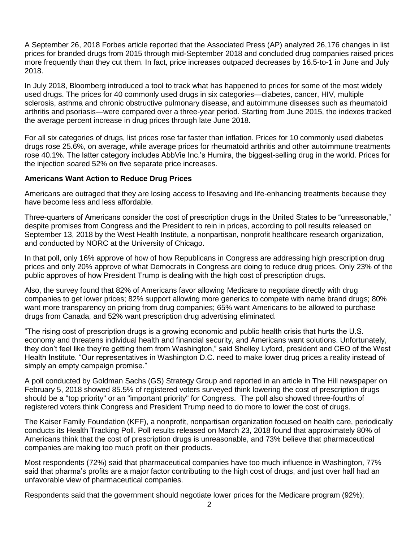A September 26, 2018 Forbes article reported that the Associated Press (AP) analyzed 26,176 changes in list prices for branded drugs from 2015 through mid-September 2018 and concluded drug companies raised prices more frequently than they cut them. In fact, price increases outpaced decreases by 16.5-to-1 in June and July 2018.

In July 2018, Bloomberg introduced a tool to track what has happened to prices for some of the most widely used drugs. The prices for 40 commonly used drugs in six categories—diabetes, cancer, HIV, multiple sclerosis, asthma and chronic obstructive pulmonary disease, and autoimmune diseases such as rheumatoid arthritis and psoriasis—were compared over a three-year period. Starting from June 2015, the indexes tracked the average percent increase in drug prices through late June 2018.

For all six categories of drugs, list prices rose far faster than inflation. Prices for 10 commonly used diabetes drugs rose 25.6%, on average, while average prices for rheumatoid arthritis and other autoimmune treatments rose 40.1%. The latter category includes AbbVie Inc.'s Humira, the biggest-selling drug in the world. Prices for the injection soared 52% on five separate price increases.

# **Americans Want Action to Reduce Drug Prices**

Americans are outraged that they are losing access to lifesaving and life-enhancing treatments because they have become less and less affordable.

Three-quarters of Americans consider the cost of prescription drugs in the United States to be "unreasonable," despite promises from Congress and the President to rein in prices, according to poll results released on September 13, 2018 by the West Health Institute, a nonpartisan, nonprofit healthcare research organization, and conducted by NORC at the University of Chicago.

In that poll, only 16% approve of how of how Republicans in Congress are addressing high prescription drug prices and only 20% approve of what Democrats in Congress are doing to reduce drug prices. Only 23% of the public approves of how President Trump is dealing with the high cost of prescription drugs.

Also, the survey found that 82% of Americans favor allowing Medicare to negotiate directly with drug companies to get lower prices; 82% support allowing more generics to compete with name brand drugs; 80% want more transparency on pricing from drug companies; 65% want Americans to be allowed to purchase drugs from Canada, and 52% want prescription drug advertising eliminated.

"The rising cost of prescription drugs is a growing economic and public health crisis that hurts the U.S. economy and threatens individual health and financial security, and Americans want solutions. Unfortunately, they don't feel like they're getting them from Washington," said Shelley Lyford, president and CEO of the West Health Institute. "Our representatives in Washington D.C. need to make lower drug prices a reality instead of simply an empty campaign promise."

A poll conducted by Goldman Sachs (GS) Strategy Group and reported in an article in The Hill newspaper on February 5, 2018 showed 85.5% of registered voters surveyed think lowering the cost of prescription drugs should be a "top priority" or an "important priority" for Congress. The poll also showed three-fourths of registered voters think Congress and President Trump need to do more to lower the cost of drugs.

The Kaiser Family Foundation (KFF), a nonprofit, nonpartisan organization focused on health care, periodically conducts its Health Tracking Poll. Poll results released on March 23, 2018 found that approximately 80% of Americans think that the cost of prescription drugs is unreasonable, and 73% believe that pharmaceutical companies are making too much profit on their products.

Most respondents (72%) said that pharmaceutical companies have too much influence in Washington, 77% said that pharma's profits are a major factor contributing to the high cost of drugs, and just over half had an unfavorable view of pharmaceutical companies.

Respondents said that the government should negotiate lower prices for the Medicare program (92%);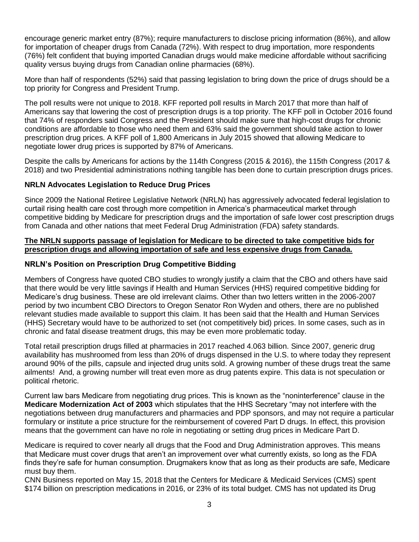encourage generic market entry (87%); require manufacturers to disclose pricing information (86%), and allow for importation of cheaper drugs from Canada (72%). With respect to drug importation, more respondents (76%) felt confident that buying imported Canadian drugs would make medicine affordable without sacrificing quality versus buying drugs from Canadian online pharmacies (68%).

More than half of respondents (52%) said that passing legislation to bring down the price of drugs should be a top priority for Congress and President Trump.

The poll results were not unique to 2018. KFF reported poll results in March 2017 that more than half of Americans say that lowering the cost of prescription drugs is a top priority. The KFF poll in October 2016 found that 74% of responders said Congress and the President should make sure that high-cost drugs for chronic conditions are affordable to those who need them and 63% said the government should take action to lower prescription drug prices. A KFF poll of 1,800 Americans in July 2015 showed that allowing Medicare to negotiate lower drug prices is supported by 87% of Americans.

Despite the calls by Americans for actions by the 114th Congress (2015 & 2016), the 115th Congress (2017 & 2018) and two Presidential administrations nothing tangible has been done to curtain prescription drugs prices.

# **NRLN Advocates Legislation to Reduce Drug Prices**

Since 2009 the National Retiree Legislative Network (NRLN) has aggressively advocated federal legislation to curtail rising health care cost through more competition in America's pharmaceutical market through competitive bidding by Medicare for prescription drugs and the importation of safe lower cost prescription drugs from Canada and other nations that meet Federal Drug Administration (FDA) safety standards.

### **The NRLN supports passage of legislation for Medicare to be directed to take competitive bids for prescription drugs and allowing importation of safe and less expensive drugs from Canada.**

# **NRLN's Position on Prescription Drug Competitive Bidding**

Members of Congress have quoted CBO studies to wrongly justify a claim that the CBO and others have said that there would be very little savings if Health and Human Services (HHS) required competitive bidding for Medicare's drug business. These are old irrelevant claims. Other than two letters written in the 2006-2007 period by two incumbent CBO Directors to Oregon Senator Ron Wyden and others, there are no published relevant studies made available to support this claim. It has been said that the Health and Human Services (HHS) Secretary would have to be authorized to set (not competitively bid) prices. In some cases, such as in chronic and fatal disease treatment drugs, this may be even more problematic today.

Total retail prescription drugs filled at pharmacies in 2017 reached 4.063 billion. Since 2007, generic drug availability has mushroomed from less than 20% of drugs dispensed in the U.S. to where today they represent around 90% of the pills, capsule and injected drug units sold. A growing number of these drugs treat the same ailments! And, a growing number will treat even more as drug patents expire. This data is not speculation or political rhetoric.

Current law bars Medicare from negotiating drug prices. This is known as the "noninterference" clause in the **Medicare Modernization Act of 2003** which stipulates that the HHS Secretary "may not interfere with the negotiations between drug manufacturers and pharmacies and PDP sponsors, and may not require a particular formulary or institute a price structure for the reimbursement of covered Part D drugs. In effect, this provision means that the government can have no role in negotiating or setting drug prices in Medicare Part D.

Medicare is required to cover nearly all drugs that the Food and Drug Administration approves. This means that Medicare must cover drugs that aren't an improvement over what currently exists, so long as the FDA finds they're safe for human consumption. Drugmakers know that as long as their products are safe, Medicare must buy them.

CNN Business reported on May 15, 2018 that the Centers for Medicare & Medicaid Services (CMS) spent \$174 billion on prescription medications in 2016, or 23% of its total budget. CMS has not updated its Drug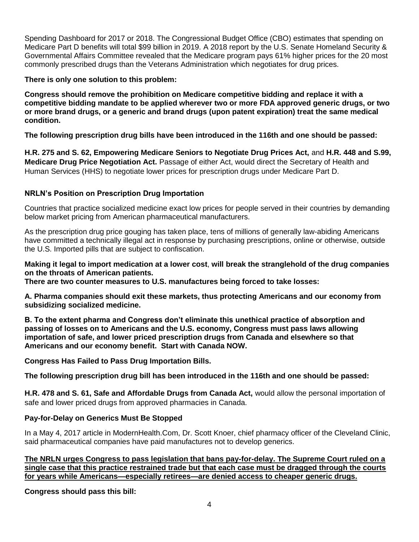Spending Dashboard for 2017 or 2018. The Congressional Budget Office (CBO) estimates that spending on Medicare Part D benefits will total \$99 billion in 2019. A 2018 report by the U.S. Senate Homeland Security & Governmental Affairs Committee revealed that the Medicare program pays 61% higher prices for the 20 most commonly prescribed drugs than the Veterans Administration which negotiates for drug prices.

## **There is only one solution to this problem:**

**Congress should remove the prohibition on Medicare competitive bidding and replace it with a competitive bidding mandate to be applied wherever two or more FDA approved generic drugs, or two or more brand drugs, or a generic and brand drugs (upon patent expiration) treat the same medical condition.** 

# **The following prescription drug bills have been introduced in the 116th and one should be passed:**

**H.R. 275 and S. 62, Empowering Medicare Seniors to Negotiate Drug Prices Act,** and **H.R. 448 and S.99, Medicare Drug Price Negotiation Act.** Passage of either Act, would direct the Secretary of Health and Human Services (HHS) to negotiate lower prices for prescription drugs under Medicare Part D.

# **NRLN's Position on Prescription Drug Importation**

Countries that practice socialized medicine exact low prices for people served in their countries by demanding below market pricing from American pharmaceutical manufacturers.

As the prescription drug price gouging has taken place, tens of millions of generally law-abiding Americans have committed a technically illegal act in response by purchasing prescriptions, online or otherwise, outside the U.S. Imported pills that are subject to confiscation.

## **Making it legal to import medication at a lower cost**, **will break the stranglehold of the drug companies on the throats of American patients.**

**There are two counter measures to U.S. manufactures being forced to take losses:**

**A. Pharma companies should exit these markets, thus protecting Americans and our economy from subsidizing socialized medicine.**

**B. To the extent pharma and Congress don't eliminate this unethical practice of absorption and passing of losses on to Americans and the U.S. economy, Congress must pass laws allowing importation of safe, and lower priced prescription drugs from Canada and elsewhere so that Americans and our economy benefit. Start with Canada NOW.**

## **Congress Has Failed to Pass Drug Importation Bills.**

**The following prescription drug bill has been introduced in the 116th and one should be passed:**

**H.R. 478 and S. 61, Safe and Affordable Drugs from Canada Act,** would allow the personal importation of safe and lower priced drugs from approved pharmacies in Canada.

## **Pay-for-Delay on Generics Must Be Stopped**

In a May 4, 2017 article in ModernHealth.Com, Dr. Scott Knoer, chief pharmacy officer of the Cleveland Clinic, said pharmaceutical companies have paid manufactures not to develop generics.

## **The NRLN urges Congress to pass legislation that bans pay-for-delay. The Supreme Court ruled on a single case that this practice restrained trade but that each case must be dragged through the courts for years while Americans—especially retirees—are denied access to cheaper generic drugs.**

**Congress should pass this bill:**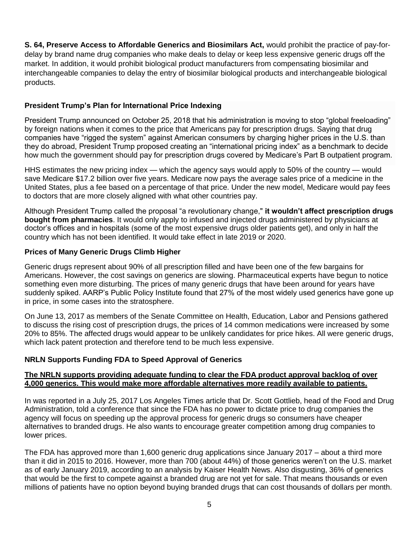**S. 64, Preserve Access to Affordable Generics and Biosimilars Act,** would prohibit the practice of pay-fordelay by brand name drug companies who make deals to delay or keep less expensive generic drugs off the market. In addition, it would prohibit biological product manufacturers from compensating biosimilar and interchangeable companies to delay the entry of biosimilar biological products and interchangeable biological products.

## **President Trump's Plan for International Price Indexing**

President Trump announced on October 25, 2018 that his administration is moving to stop "global freeloading" by foreign nations when it comes to the price that Americans pay for prescription drugs. Saying that drug companies have "rigged the system" against American consumers by charging higher prices in the U.S. than they do abroad, President Trump proposed creating an "international pricing index" as a benchmark to decide how much the government should pay for prescription drugs covered by Medicare's Part B outpatient program.

HHS estimates the new pricing index — which the agency says would apply to 50% of the country — would save Medicare \$17.2 billion over five years. Medicare now pays the average sales price of a medicine in the United States, plus a fee based on a percentage of that price. Under the new model, Medicare would pay fees to doctors that are more closely aligned with what other countries pay.

Although President Trump called the proposal "a revolutionary change," **it wouldn't affect prescription drugs bought from pharmacies**. It would only apply to infused and injected drugs administered by physicians at doctor's offices and in hospitals (some of the most expensive drugs older patients get), and only in half the country which has not been identified. It would take effect in late 2019 or 2020.

# **Prices of Many Generic Drugs Climb Higher**

Generic drugs represent about 90% of all prescription filled and have been one of the few bargains for Americans. However, the cost savings on generics are slowing. Pharmaceutical experts have begun to notice something even more disturbing. The prices of many generic drugs that have been around for years have suddenly spiked. AARP's Public Policy Institute found that 27% of the most widely used generics have gone up in price, in some cases into the stratosphere.

On June 13, 2017 as members of the Senate Committee on Health, Education, Labor and Pensions gathered to discuss the rising cost of prescription drugs, the prices of 14 common medications were increased by some 20% to 85%. The affected drugs would appear to be unlikely candidates for price hikes. All were generic drugs, which lack patent protection and therefore tend to be much less expensive.

## **NRLN Supports Funding FDA to Speed Approval of Generics**

## **The NRLN supports providing adequate funding to clear the FDA product approval backlog of over 4,000 generics. This would make more affordable alternatives more readily available to patients.**

In was reported in a July 25, 2017 Los Angeles Times article that Dr. Scott Gottlieb, head of the Food and Drug Administration, told a conference that since the FDA has no power to dictate price to drug companies the agency will focus on speeding up the approval process for generic drugs so consumers have cheaper alternatives to branded drugs. He also wants to encourage greater competition among drug companies to lower prices.

The FDA has approved more than 1,600 generic drug applications since January 2017 – about a third more than it did in 2015 to 2016. However, more than 700 (about 44%) of those generics weren't on the U.S. market as of early January 2019, according to an analysis by Kaiser Health News. Also disgusting, 36% of generics that would be the first to compete against a branded drug are not yet for sale. That means thousands or even millions of patients have no option beyond buying branded drugs that can cost thousands of dollars per month.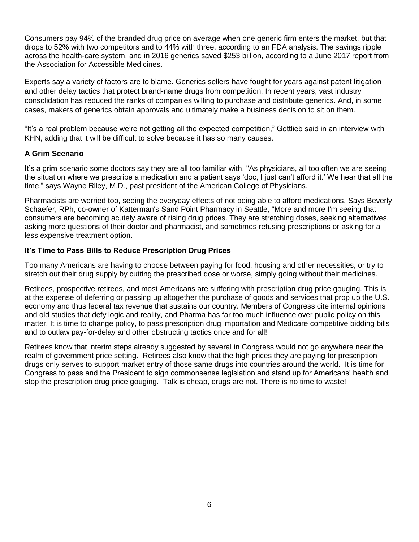Consumers pay 94% of the branded drug price on average when one generic firm enters the market, but that drops to 52% with two competitors and to 44% with three, according to an FDA analysis. The savings ripple across the health-care system, and in 2016 generics saved \$253 billion, according to a June 2017 report from the Association for Accessible Medicines.

Experts say a variety of factors are to blame. Generics sellers have fought for years against patent litigation and other delay tactics that protect brand-name drugs from competition. In recent years, vast industry consolidation has reduced the ranks of companies willing to purchase and distribute generics. And, in some cases, makers of generics obtain approvals and ultimately make a business decision to sit on them.

"It's a real problem because we're not getting all the expected competition," Gottlieb said in an interview with KHN, adding that it will be difficult to solve because it has so many causes.

# **A Grim Scenario**

It's a grim scenario some doctors say they are all too familiar with. "As physicians, all too often we are seeing the situation where we prescribe a medication and a patient says 'doc, I just can't afford it.' We hear that all the time," says Wayne Riley, M.D., past president of the American College of Physicians.

Pharmacists are worried too, seeing the everyday effects of not being able to afford medications. Says Beverly Schaefer, RPh, co-owner of Katterman's Sand Point Pharmacy in Seattle, "More and more I'm seeing that consumers are becoming acutely aware of rising drug prices. They are stretching doses, seeking alternatives, asking more questions of their doctor and pharmacist, and sometimes refusing prescriptions or asking for a less expensive treatment option.

# **It's Time to Pass Bills to Reduce Prescription Drug Prices**

Too many Americans are having to choose between paying for food, housing and other necessities, or try to stretch out their drug supply by cutting the prescribed dose or worse, simply going without their medicines.

Retirees, prospective retirees, and most Americans are suffering with prescription drug price gouging. This is at the expense of deferring or passing up altogether the purchase of goods and services that prop up the U.S. economy and thus federal tax revenue that sustains our country. Members of Congress cite internal opinions and old studies that defy logic and reality, and Pharma has far too much influence over public policy on this matter. It is time to change policy, to pass prescription drug importation and Medicare competitive bidding bills and to outlaw pay-for-delay and other obstructing tactics once and for all!

Retirees know that interim steps already suggested by several in Congress would not go anywhere near the realm of government price setting. Retirees also know that the high prices they are paying for prescription drugs only serves to support market entry of those same drugs into countries around the world. It is time for Congress to pass and the President to sign commonsense legislation and stand up for Americans' health and stop the prescription drug price gouging. Talk is cheap, drugs are not. There is no time to waste!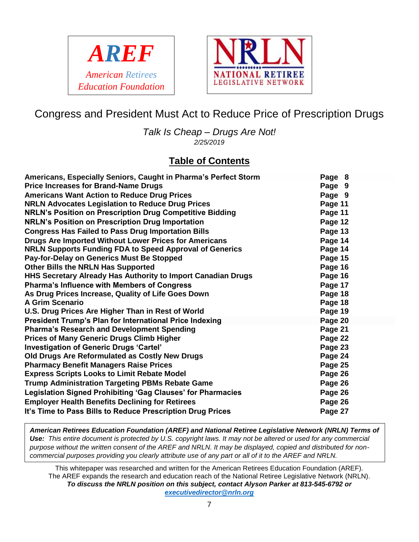



# Congress and President Must Act to Reduce Price of Prescription Drugs

*Talk Is Cheap – Drugs Are Not!*

*2/25/2019*

# **Table of Contents**

| Americans, Especially Seniors, Caught in Pharma's Perfect Storm    | Page 8  |
|--------------------------------------------------------------------|---------|
| <b>Price Increases for Brand-Name Drugs</b>                        | Page 9  |
| <b>Americans Want Action to Reduce Drug Prices</b>                 | Page 9  |
| <b>NRLN Advocates Legislation to Reduce Drug Prices</b>            | Page 11 |
| <b>NRLN's Position on Prescription Drug Competitive Bidding</b>    | Page 11 |
| <b>NRLN's Position on Prescription Drug Importation</b>            | Page 12 |
| <b>Congress Has Failed to Pass Drug Importation Bills</b>          | Page 13 |
| Drugs Are Imported Without Lower Prices for Americans              | Page 14 |
| <b>NRLN Supports Funding FDA to Speed Approval of Generics</b>     | Page 14 |
| Pay-for-Delay on Generics Must Be Stopped                          | Page 15 |
| Other Bills the NRLN Has Supported                                 | Page 16 |
| HHS Secretary Already Has Authority to Import Canadian Drugs       | Page 16 |
| <b>Pharma's Influence with Members of Congress</b>                 | Page 17 |
| As Drug Prices Increase, Quality of Life Goes Down                 | Page 18 |
| <b>A Grim Scenario</b>                                             | Page 18 |
| U.S. Drug Prices Are Higher Than in Rest of World                  | Page 19 |
| <b>President Trump's Plan for International Price Indexing</b>     | Page 20 |
| <b>Pharma's Research and Development Spending</b>                  | Page 21 |
| <b>Prices of Many Generic Drugs Climb Higher</b>                   | Page 22 |
| Investigation of Generic Drugs 'Cartel'                            | Page 23 |
| Old Drugs Are Reformulated as Costly New Drugs                     | Page 24 |
| <b>Pharmacy Benefit Managers Raise Prices</b>                      | Page 25 |
| <b>Express Scripts Looks to Limit Rebate Model</b>                 | Page 26 |
| <b>Trump Administration Targeting PBMs Rebate Game</b>             | Page 26 |
| <b>Legislation Signed Prohibiting 'Gag Clauses' for Pharmacies</b> | Page 26 |
| <b>Employer Health Benefits Declining for Retirees</b>             | Page 26 |
| It's Time to Pass Bills to Reduce Prescription Drug Prices         | Page 27 |
|                                                                    |         |

*American Retirees Education Foundation (AREF) and National Retiree Legislative Network (NRLN) Terms of Use: This entire document is protected by U.S. copyright laws. It may not be altered or used for any commercial purpose without the written consent of the AREF and NRLN. It may be displayed, copied and distributed for noncommercial purposes providing you clearly attribute use of any part or all of it to the AREF and NRLN.*

This whitepaper was researched and written for the American Retirees Education Foundation (AREF). The AREF expands the research and education reach of the National Retiree Legislative Network (NRLN). *To discuss the NRLN position on this subject, contact Alyson Parker at 813-545-6792 or [executivedirector@nrln.org](mailto:executivedirector@nrln.org)*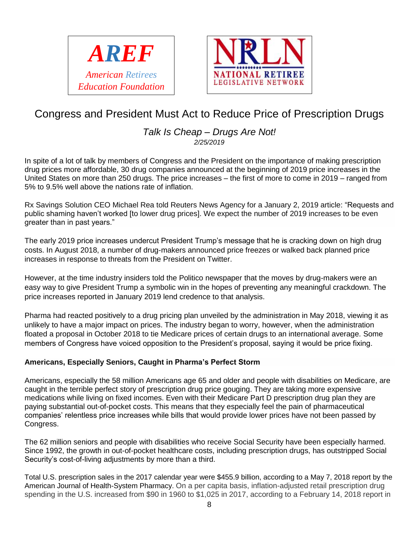



# Congress and President Must Act to Reduce Price of Prescription Drugs

## *Talk Is Cheap – Drugs Are Not! 2/25/2019*

In spite of a lot of talk by members of Congress and the President on the importance of making prescription drug prices more affordable, 30 drug companies announced at the beginning of 2019 price increases in the United States on more than 250 drugs. The price increases – the first of more to come in 2019 – ranged from 5% to 9.5% well above the nations rate of inflation.

Rx Savings Solution CEO Michael Rea told Reuters News Agency for a January 2, 2019 article: "Requests and public shaming haven't worked [to lower drug prices]. We expect the number of 2019 increases to be even greater than in past years."

The early 2019 price increases undercut President Trump's message that he is cracking down on high drug costs. In August 2018, a number of drug-makers announced price freezes or walked back planned price increases in response to threats from the President on Twitter.

However, at the time industry insiders told the Politico newspaper that the moves by drug-makers were an easy way to give President Trump a symbolic win in the hopes of preventing any meaningful crackdown. The price increases reported in January 2019 lend credence to that analysis.

Pharma had reacted positively to a drug pricing plan unveiled by the administration in May 2018, viewing it as unlikely to have a major impact on prices. The industry began to worry, however, when the administration floated a proposal in October 2018 to tie Medicare prices of certain drugs to an international average. Some members of Congress have voiced opposition to the President's proposal, saying it would be price fixing.

## **Americans, Especially Seniors, Caught in Pharma's Perfect Storm**

Americans, especially the 58 million Americans age 65 and older and people with disabilities on Medicare, are caught in the terrible perfect story of prescription drug price gouging. They are taking more expensive medications while living on fixed incomes. Even with their Medicare Part D prescription drug plan they are paying substantial out-of-pocket costs. This means that they especially feel the pain of pharmaceutical companies' relentless price increases while bills that would provide lower prices have not been passed by Congress.

The 62 million seniors and people with disabilities who receive Social Security have been especially harmed. Since 1992, the growth in out-of-pocket healthcare costs, including prescription drugs, has outstripped Social Security's cost-of-living adjustments by more than a third.

Total U.S. prescription sales in the 2017 calendar year were \$455.9 billion, according to a May 7, 2018 report by the American Journal of Health-System Pharmacy. On a per capita basis, inflation-adjusted retail prescription drug spending in the U.S. increased from \$90 in 1960 to \$1,025 in 2017, according to a February 14, 2018 report in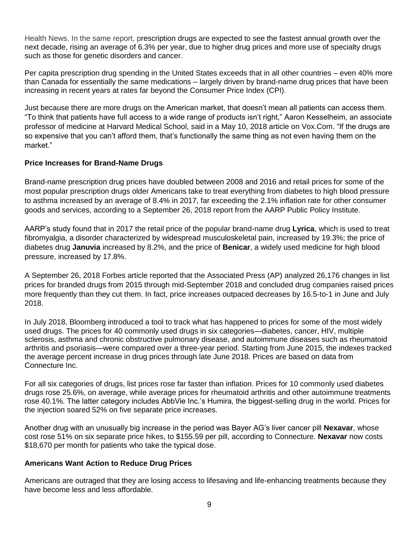Health News. In the same report, prescription drugs are expected to see the fastest annual growth over the next decade, rising an average of 6.3% per year, due to higher drug prices and more use of specialty drugs such as those for genetic disorders and cancer.

Per capita prescription drug spending in the United States exceeds that in all other countries – even 40% more than Canada for essentially the same medications – largely driven by brand-name drug prices that have been increasing in recent years at rates far beyond the Consumer Price Index (CPI).

Just because there are more drugs on the American market, that doesn't mean all patients can access them. "To think that patients have full access to a wide range of products isn't right," Aaron Kesselheim, an associate professor of medicine at Harvard Medical School, said in a May 10, 2018 article on Vox.Com. "If the drugs are so expensive that you can't afford them, that's functionally the same thing as not even having them on the market."

## **Price Increases for Brand-Name Drugs**

Brand-name prescription drug prices have doubled between 2008 and 2016 and retail prices for some of the most popular prescription drugs older Americans take to treat everything from diabetes to high blood pressure to asthma increased by an average of 8.4% in 2017, far exceeding the 2.1% inflation rate for other consumer goods and services, according to a September 26, 2018 report from the AARP Public Policy Institute.

AARP's study found that in 2017 the retail price of the popular brand-name drug **Lyrica**, which is used to treat fibromyalgia, a disorder characterized by widespread musculoskeletal pain, increased by 19.3%; the price of diabetes drug **Januvia** increased by 8.2%, and the price of **Benicar**, a widely used medicine for high blood pressure, increased by 17.8%.

A September 26, 2018 Forbes article reported that the Associated Press (AP) analyzed 26,176 changes in list prices for branded drugs from 2015 through mid-September 2018 and concluded drug companies raised prices more frequently than they cut them. In fact, price increases outpaced decreases by 16.5-to-1 in June and July 2018.

In July 2018, Bloomberg introduced a tool to track what has happened to prices for some of the most widely used drugs. The prices for 40 commonly used drugs in six categories—diabetes, cancer, HIV, multiple sclerosis, asthma and chronic obstructive pulmonary disease, and autoimmune diseases such as rheumatoid arthritis and psoriasis—were compared over a three-year period. Starting from June 2015, the indexes tracked the average percent increase in drug prices through late June 2018. Prices are based on data from Connecture Inc.

For all six categories of drugs, list prices rose far faster than inflation. Prices for 10 commonly used diabetes drugs rose 25.6%, on average, while average prices for rheumatoid arthritis and other autoimmune treatments rose 40.1%. The latter category includes AbbVie Inc.'s Humira, the biggest-selling drug in the world. Prices for the injection soared 52% on five separate price increases.

Another drug with an unusually big increase in the period was Bayer AG's liver cancer pill **Nexavar**, whose cost rose 51% on six separate price hikes, to \$155.59 per pill, according to Connecture. **Nexavar** now costs \$18,670 per month for patients who take the typical dose.

## **Americans Want Action to Reduce Drug Prices**

Americans are outraged that they are losing access to lifesaving and life-enhancing treatments because they have become less and less affordable.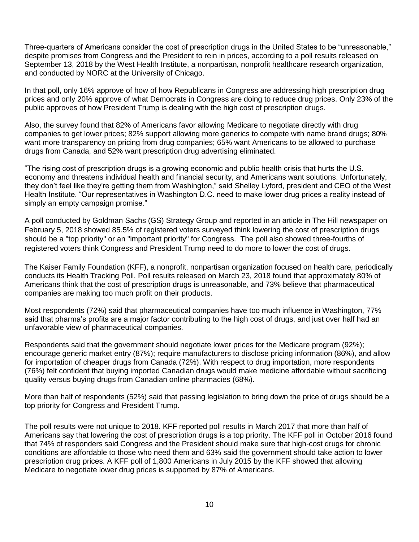Three-quarters of Americans consider the cost of prescription drugs in the United States to be "unreasonable," despite promises from Congress and the President to rein in prices, according to a poll results released on September 13, 2018 by the West Health Institute, a nonpartisan, nonprofit healthcare research organization, and conducted by NORC at the University of Chicago.

In that poll, only 16% approve of how of how Republicans in Congress are addressing high prescription drug prices and only 20% approve of what Democrats in Congress are doing to reduce drug prices. Only 23% of the public approves of how President Trump is dealing with the high cost of prescription drugs.

Also, the survey found that 82% of Americans favor allowing Medicare to negotiate directly with drug companies to get lower prices; 82% support allowing more generics to compete with name brand drugs; 80% want more transparency on pricing from drug companies; 65% want Americans to be allowed to purchase drugs from Canada, and 52% want prescription drug advertising eliminated.

"The rising cost of prescription drugs is a growing economic and public health crisis that hurts the U.S. economy and threatens individual health and financial security, and Americans want solutions. Unfortunately, they don't feel like they're getting them from Washington," said Shelley Lyford, president and CEO of the West Health Institute. "Our representatives in Washington D.C. need to make lower drug prices a reality instead of simply an empty campaign promise."

A poll conducted by Goldman Sachs (GS) Strategy Group and reported in an article in The Hill newspaper on February 5, 2018 showed 85.5% of registered voters surveyed think lowering the cost of prescription drugs should be a "top priority" or an "important priority" for Congress. The poll also showed three-fourths of registered voters think Congress and President Trump need to do more to lower the cost of drugs.

The Kaiser Family Foundation (KFF), a nonprofit, nonpartisan organization focused on health care, periodically conducts its Health Tracking Poll. Poll results released on March 23, 2018 found that approximately 80% of Americans think that the cost of prescription drugs is unreasonable, and 73% believe that pharmaceutical companies are making too much profit on their products.

Most respondents (72%) said that pharmaceutical companies have too much influence in Washington, 77% said that pharma's profits are a major factor contributing to the high cost of drugs, and just over half had an unfavorable view of pharmaceutical companies.

Respondents said that the government should negotiate lower prices for the Medicare program (92%); encourage generic market entry (87%); require manufacturers to disclose pricing information (86%), and allow for importation of cheaper drugs from Canada (72%). With respect to drug importation, more respondents (76%) felt confident that buying imported Canadian drugs would make medicine affordable without sacrificing quality versus buying drugs from Canadian online pharmacies (68%).

More than half of respondents (52%) said that passing legislation to bring down the price of drugs should be a top priority for Congress and President Trump.

The poll results were not unique to 2018. KFF reported poll results in March 2017 that more than half of Americans say that lowering the cost of prescription drugs is a top priority. The KFF poll in October 2016 found that 74% of responders said Congress and the President should make sure that high-cost drugs for chronic conditions are affordable to those who need them and 63% said the government should take action to lower prescription drug prices. A KFF poll of 1,800 Americans in July 2015 by the KFF showed that allowing Medicare to negotiate lower drug prices is supported by 87% of Americans.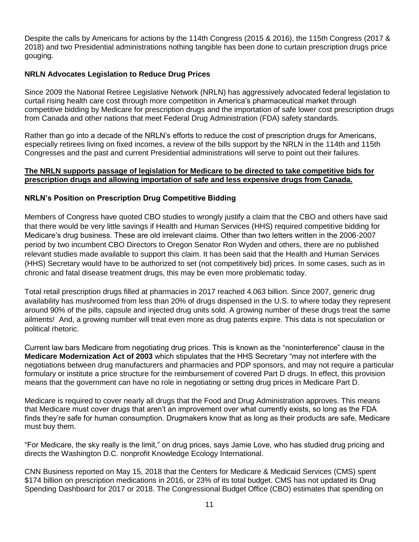Despite the calls by Americans for actions by the 114th Congress (2015 & 2016), the 115th Congress (2017 & 2018) and two Presidential administrations nothing tangible has been done to curtain prescription drugs price gouging.

## **NRLN Advocates Legislation to Reduce Drug Prices**

Since 2009 the National Retiree Legislative Network (NRLN) has aggressively advocated federal legislation to curtail rising health care cost through more competition in America's pharmaceutical market through competitive bidding by Medicare for prescription drugs and the importation of safe lower cost prescription drugs from Canada and other nations that meet Federal Drug Administration (FDA) safety standards.

Rather than go into a decade of the NRLN's efforts to reduce the cost of prescription drugs for Americans, especially retirees living on fixed incomes, a review of the bills support by the NRLN in the 114th and 115th Congresses and the past and current Presidential administrations will serve to point out their failures.

### **The NRLN supports passage of legislation for Medicare to be directed to take competitive bids for prescription drugs and allowing importation of safe and less expensive drugs from Canada.**

# **NRLN's Position on Prescription Drug Competitive Bidding**

Members of Congress have quoted CBO studies to wrongly justify a claim that the CBO and others have said that there would be very little savings if Health and Human Services (HHS) required competitive bidding for Medicare's drug business. These are old irrelevant claims. Other than two letters written in the 2006-2007 period by two incumbent CBO Directors to Oregon Senator Ron Wyden and others, there are no published relevant studies made available to support this claim. It has been said that the Health and Human Services (HHS) Secretary would have to be authorized to set (not competitively bid) prices. In some cases, such as in chronic and fatal disease treatment drugs, this may be even more problematic today.

Total retail prescription drugs filled at pharmacies in 2017 reached 4.063 billion. Since 2007, generic drug availability has mushroomed from less than 20% of drugs dispensed in the U.S. to where today they represent around 90% of the pills, capsule and injected drug units sold. A growing number of these drugs treat the same ailments! And, a growing number will treat even more as drug patents expire. This data is not speculation or political rhetoric.

Current law bars Medicare from negotiating drug prices. This is known as the "noninterference" clause in the **Medicare Modernization Act of 2003** which stipulates that the HHS Secretary "may not interfere with the negotiations between drug manufacturers and pharmacies and PDP sponsors, and may not require a particular formulary or institute a price structure for the reimbursement of covered Part D drugs. In effect, this provision means that the government can have no role in negotiating or setting drug prices in Medicare Part D.

Medicare is required to cover nearly all drugs that the Food and Drug Administration approves. This means that Medicare must cover drugs that aren't an improvement over what currently exists, so long as the FDA finds they're safe for human consumption. Drugmakers know that as long as their products are safe, Medicare must buy them.

"For Medicare, the sky really is the limit," on drug prices, says Jamie Love, who has studied drug pricing and directs the Washington D.C. nonprofit Knowledge Ecology International.

CNN Business reported on May 15, 2018 that the Centers for Medicare & Medicaid Services (CMS) spent \$174 billion on prescription medications in 2016, or 23% of its total budget. CMS has not updated its Drug Spending Dashboard for 2017 or 2018. The Congressional Budget Office (CBO) estimates that spending on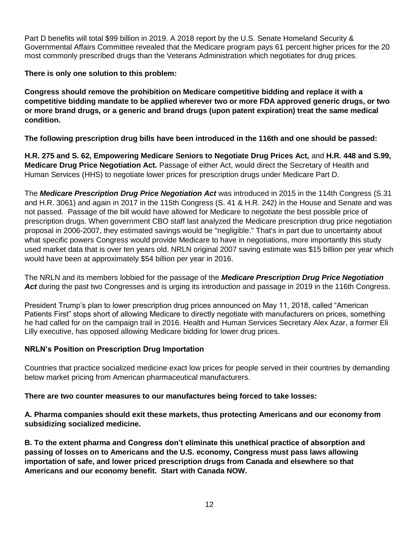Part D benefits will total \$99 billion in 2019. A 2018 report by the U.S. Senate Homeland Security & Governmental Affairs Committee revealed that the Medicare program pays 61 percent higher prices for the 20 most commonly prescribed drugs than the Veterans Administration which negotiates for drug prices.

**There is only one solution to this problem:**

**Congress should remove the prohibition on Medicare competitive bidding and replace it with a competitive bidding mandate to be applied wherever two or more FDA approved generic drugs, or two or more brand drugs, or a generic and brand drugs (upon patent expiration) treat the same medical condition.** 

**The following prescription drug bills have been introduced in the 116th and one should be passed:**

**H.R. 275 and S. 62, Empowering Medicare Seniors to Negotiate Drug Prices Act,** and **H.R. 448 and S.99, Medicare Drug Price Negotiation Act.** Passage of either Act, would direct the Secretary of Health and Human Services (HHS) to negotiate lower prices for prescription drugs under Medicare Part D.

The *Medicare Prescription Drug Price Negotiation Act* was introduced in 2015 in the 114th Congress (S.31 and H.R. 3061) and again in 2017 in the 115th Congress (S. 41 & H.R. 242) in the House and Senate and was not passed. Passage of the bill would have allowed for Medicare to negotiate the best possible price of prescription drugs. When government CBO staff last analyzed the Medicare prescription drug price negotiation proposal in 2006-2007, they estimated savings would be "negligible." That's in part due to uncertainty about what specific powers Congress would provide Medicare to have in negotiations, more importantly this study used market data that is over ten years old. NRLN original 2007 saving estimate was \$15 billion per year which would have been at approximately \$54 billion per year in 2016.

The NRLN and its members lobbied for the passage of the *Medicare Prescription Drug Price Negotiation Act* during the past two Congresses and is urging its introduction and passage in 2019 in the 116th Congress.

President Trump's plan to lower prescription drug prices announced on May 11, 2018, called "American Patients First" stops short of allowing Medicare to directly negotiate with manufacturers on prices, something he had called for on the campaign trail in 2016. [Health and Human Services](https://www.cnbc.com/id/105140355) Secretary [Alex Azar,](https://www.cnbc.com/alex-azar/) a former Eli Lilly executive, has opposed allowing Medicare bidding for lower drug prices.

# **NRLN's Position on Prescription Drug Importation**

Countries that practice socialized medicine exact low prices for people served in their countries by demanding below market pricing from American pharmaceutical manufacturers.

## **There are two counter measures to our manufactures being forced to take losses:**

**A. Pharma companies should exit these markets, thus protecting Americans and our economy from subsidizing socialized medicine.**

**B. To the extent pharma and Congress don't eliminate this unethical practice of absorption and passing of losses on to Americans and the U.S. economy, Congress must pass laws allowing importation of safe, and lower priced prescription drugs from Canada and elsewhere so that Americans and our economy benefit. Start with Canada NOW.**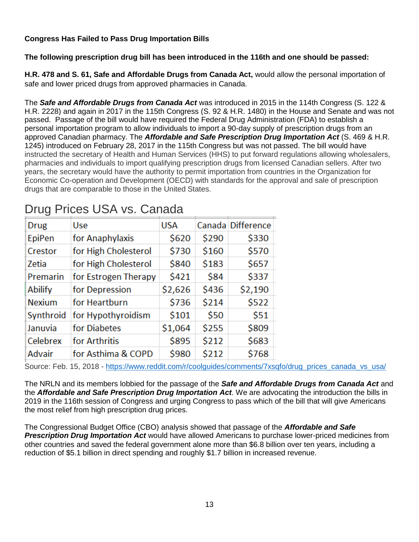# **Congress Has Failed to Pass Drug Importation Bills**

# **The following prescription drug bill has been introduced in the 116th and one should be passed:**

**H.R. 478 and S. 61, Safe and Affordable Drugs from Canada Act,** would allow the personal importation of safe and lower priced drugs from approved pharmacies in Canada.

The *Safe and Affordable Drugs from Canada Act* was introduced in 2015 in the 114th Congress (S. 122 & H.R. 2228) and again in 2017 in the 115th Congress (S. 92 & H.R. 1480) in the House and Senate and was not passed. Passage of the bill would have required the Federal Drug Administration (FDA) to establish a personal importation program to allow individuals to import a 90-day supply of prescription drugs from an approved Canadian pharmacy. The *Affordable and Safe Prescription Drug Importation Act* (S. 469 & H.R. 1245) introduced on February 28, 2017 in the 115th Congress but was not passed. The bill would have instructed the secretary of Health and Human Services (HHS) to put forward regulations allowing wholesalers, pharmacies and individuals to import qualifying prescription drugs from licensed Canadian sellers. After two years, the secretary would have the authority to permit importation from countries in the Organization for Economic Co-operation and Development (OECD) with standards for the approval and sale of prescription drugs that are comparable to those in the United States.

| Drug           | Use                  | <b>USA</b> |       | Canada Difference |
|----------------|----------------------|------------|-------|-------------------|
| EpiPen         | for Anaphylaxis      | \$620      | \$290 | \$330             |
| Crestor        | for High Cholesterol | \$730      | \$160 | \$570             |
| Zetia          | for High Cholesterol | \$840      | \$183 | \$657             |
| Premarin       | for Estrogen Therapy | \$421      | \$84  | \$337             |
| <b>Abilify</b> | for Depression       | \$2,626    | \$436 | \$2,190           |
| <b>Nexium</b>  | for Heartburn        | \$736      | \$214 | \$522             |
| Synthroid      | for Hypothyroidism   | \$101      | \$50  | \$51              |
| Januvia        | for Diabetes         | \$1,064    | \$255 | \$809             |
| Celebrex       | for Arthritis        | \$895      | \$212 | \$683             |
| <b>Advair</b>  | for Asthima & COPD   | \$980      | \$212 | \$768             |
|                |                      |            |       |                   |

# Drug Prices USA vs. Canada

Source: Feb. 15, 2018 - [https://www.reddit.com/r/coolguides/comments/7xsqfo/drug\\_prices\\_canada\\_vs\\_usa/](https://www.reddit.com/r/coolguides/comments/7xsqfo/drug_prices_canada_vs_usa/)

The NRLN and its members lobbied for the passage of the *Safe and Affordable Drugs from Canada Act* and the *Affordable and Safe Prescription Drug Importation Act*. We are advocating the introduction the bills in 2019 in the 116th session of Congress and urging Congress to pass which of the bill that will give Americans the most relief from high prescription drug prices.

The Congressional Budget Office (CBO) analysis showed that passage of the *Affordable and Safe Prescription Drug Importation Act* would have allowed Americans to purchase lower-priced medicines from other countries and saved the federal government alone more than \$6.8 billion over ten years, including a reduction of \$5.1 billion in direct spending and roughly \$1.7 billion in increased revenue.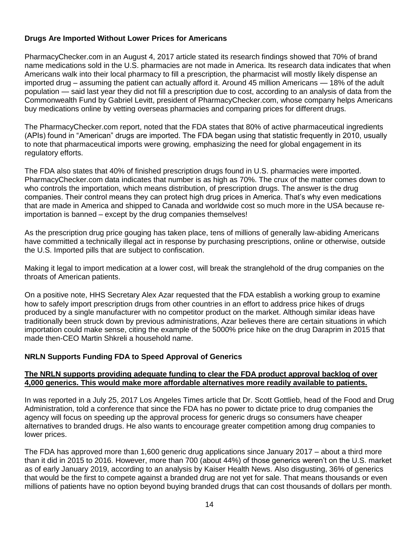# **Drugs Are Imported Without Lower Prices for Americans**

PharmacyChecker.com in an August 4, 2017 article stated its research findings showed that 70% of brand name medications sold in the U.S. pharmacies are not made in America. Its research data indicates that when Americans walk into their local pharmacy to fill a prescription, the pharmacist will mostly likely dispense an imported drug – assuming the patient can actually afford it. Around 45 million Americans — 18% of the adult population — said last year they did not fill a prescription due to cost, according to an analysis of data from the Commonwealth Fund by Gabriel Levitt, president of PharmacyChecker.com, whose company helps Americans buy medications online by vetting overseas pharmacies and comparing prices for different drugs.

The PharmacyChecker.com report, noted that the FDA states that 80% of active pharmaceutical ingredients (APIs) found in "American" drugs are imported. The FDA began using that statistic frequently in 2010, usually to note that pharmaceutical imports were growing*,* emphasizing the need for global engagement in its regulatory efforts.

The FDA also states that 40% of finished prescription drugs found in U.S. pharmacies were imported. PharmacyChecker.com data indicates that number is as high as 70%. The crux of the matter comes down to who controls the importation, which means distribution, of prescription drugs. The answer is the drug companies. Their control means they can protect high drug prices in America. That's why even medications that are made in America and shipped to Canada and worldwide cost so much more in the USA because reimportation is banned – except by the drug companies themselves!

As the prescription drug price gouging has taken place, tens of millions of generally law-abiding Americans have committed a technically illegal act in response by purchasing prescriptions, online or otherwise, outside the U.S. Imported pills that are subject to confiscation.

Making it legal to import medication at a lower cost, will break the stranglehold of the drug companies on the throats of American patients.

On a positive note, HHS Secretary Alex Azar [requested](https://www.ajmc.com/newsroom/fda-to-consider-policy-change-allowing-certain-prescription-drug-imports) that the FDA establish a working group to examine how to safely import prescription drugs from other countries in an effort to address price hikes of drugs produced by a single manufacturer with no competitor product on the market. Although similar ideas have traditionally been struck down by previous administrations, Azar believes there are certain situations in which importation could make sense, citing the example of the 5000% price hike on the drug Daraprim in 2015 that made then-CEO Martin Shkreli a household name.

## **NRLN Supports Funding FDA to Speed Approval of Generics**

## **The NRLN supports providing adequate funding to clear the FDA product approval backlog of over 4,000 generics. This would make more affordable alternatives more readily available to patients.**

In was reported in a July 25, 2017 Los Angeles Times article that Dr. Scott Gottlieb, head of the Food and Drug Administration, told a conference that since the FDA has no power to dictate price to drug companies the agency will focus on speeding up the approval process for generic drugs so consumers have cheaper alternatives to branded drugs. He also wants to encourage greater competition among drug companies to lower prices.

The FDA has approved more than 1,600 generic drug applications since January 2017 – about a third more than it did in 2015 to 2016. However, more than 700 (about 44%) of those generics weren't on the U.S. market as of early January 2019, according to an analysis by Kaiser Health News. Also disgusting, 36% of generics that would be the first to compete against a branded drug are not yet for sale. That means thousands or even millions of patients have no option beyond buying branded drugs that can cost thousands of dollars per month.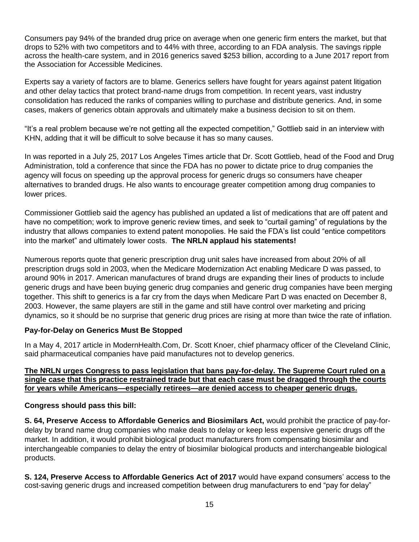Consumers pay 94% of the branded drug price on average when one generic firm enters the market, but that drops to 52% with two competitors and to 44% with three, according to an FDA analysis. The savings ripple across the health-care system, and in 2016 generics saved \$253 billion, according to a June 2017 report from the Association for Accessible Medicines.

Experts say a variety of factors are to blame. Generics sellers have fought for years against patent litigation and other delay tactics that protect brand-name drugs from competition. In recent years, vast industry consolidation has reduced the ranks of companies willing to purchase and distribute generics. And, in some cases, makers of generics obtain approvals and ultimately make a business decision to sit on them.

"It's a real problem because we're not getting all the expected competition," Gottlieb said in an interview with KHN, adding that it will be difficult to solve because it has so many causes.

In was reported in a July 25, 2017 Los Angeles Times article that Dr. Scott Gottlieb, head of the Food and Drug Administration, told a conference that since the FDA has no power to dictate price to drug companies the agency will focus on speeding up the approval process for generic drugs so consumers have cheaper alternatives to branded drugs. He also wants to encourage greater competition among drug companies to lower prices.

Commissioner Gottlieb said the agency has published an updated a list of medications that are off patent and have no competition; work to improve generic review times, and seek to "curtail gaming" of regulations by the industry that allows companies to extend patent monopolies. He said the FDA's list could "entice competitors into the market" and ultimately lower costs. **The NRLN applaud his statements!**

Numerous reports quote that generic prescription drug unit sales have increased from about 20% of all prescription drugs sold in 2003, when the Medicare Modernization Act enabling Medicare D was passed, to around 90% in 2017. American manufactures of brand drugs are expanding their lines of products to include generic drugs and have been buying generic drug companies and generic drug companies have been merging together. This shift to generics is a far cry from the days when Medicare Part D was enacted on December 8, 2003. However, the same players are still in the game and still have control over marketing and pricing dynamics, so it should be no surprise that generic drug prices are rising at more than twice the rate of inflation.

# **Pay-for-Delay on Generics Must Be Stopped**

In a May 4, 2017 article in ModernHealth.Com, Dr. Scott Knoer, chief pharmacy officer of the Cleveland Clinic, said pharmaceutical companies have paid manufactures not to develop generics.

## **The NRLN urges Congress to pass legislation that bans pay-for-delay. The Supreme Court ruled on a single case that this practice restrained trade but that each case must be dragged through the courts for years while Americans—especially retirees—are denied access to cheaper generic drugs.**

## **Congress should pass this bill:**

**S. 64, Preserve Access to Affordable Generics and Biosimilars Act,** would prohibit the practice of pay-fordelay by brand name drug companies who make deals to delay or keep less expensive generic drugs off the market. In addition, it would prohibit biological product manufacturers from compensating biosimilar and interchangeable companies to delay the entry of biosimilar biological products and interchangeable biological products.

**S. 124, Preserve Access to Affordable Generics Act of 2017** would have expand consumers' access to the cost-saving generic drugs and increased competition between drug manufacturers to end "pay for delay"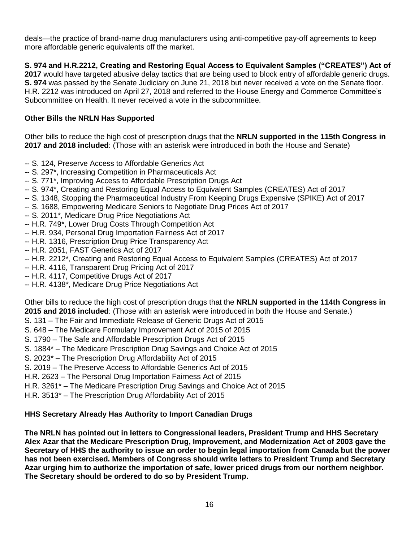deals—the practice of brand-name drug manufacturers using anti-competitive pay-off agreements to keep more affordable generic equivalents off the market.

# **S. 974 and H.R.2212, Creating and Restoring Equal Access to Equivalent Samples ("CREATES") Act of**

**2017** would have targeted abusive delay tactics that are being used to block entry of affordable generic drugs. **S. 974** was passed by the Senate Judiciary on June 21, 2018 but never received a vote on the Senate floor. H.R. 2212 was introduced on April 27, 2018 and referred to the House Energy and Commerce Committee's Subcommittee on Health. It never received a vote in the subcommittee.

# **Other Bills the NRLN Has Supported**

Other bills to reduce the high cost of prescription drugs that the **NRLN supported in the 115th Congress in 2017 and 2018 included**: (Those with an asterisk were introduced in both the House and Senate)

- -- S. 124, Preserve Access to Affordable Generics Act
- -- S. 297\*, Increasing Competition in Pharmaceuticals Act
- -- S. 771\*, Improving Access to Affordable Prescription Drugs Act
- -- S. 974\*, Creating and Restoring Equal Access to Equivalent Samples (CREATES) Act of 2017
- -- S. 1348, Stopping the Pharmaceutical Industry From Keeping Drugs Expensive (SPIKE) Act of 2017
- -- S. 1688, Empowering Medicare Seniors to Negotiate Drug Prices Act of 2017
- -- S. 2011\*, Medicare Drug Price Negotiations Act
- -- H.R. 749\*, Lower Drug Costs Through Competition Act
- -- H.R. 934, Personal Drug Importation Fairness Act of 2017
- -- H.R. 1316, Prescription Drug Price Transparency Act
- -- H.R. 2051, FAST Generics Act of 2017
- -- H.R. 2212\*, Creating and Restoring Equal Access to Equivalent Samples (CREATES) Act of 2017
- -- H.R. 4116, Transparent Drug Pricing Act of 2017
- -- H.R. 4117, Competitive Drugs Act of 2017
- -- H.R. 4138\*, Medicare Drug Price Negotiations Act

Other bills to reduce the high cost of prescription drugs that the **NRLN supported in the 114th Congress in 2015 and 2016 included**: (Those with an asterisk were introduced in both the House and Senate.)

- S. 131 The Fair and Immediate Release of Generic Drugs Act of 2015
- S. 648 The Medicare Formulary Improvement Act of 2015 of 2015
- S. 1790 The Safe and Affordable Prescription Drugs Act of 2015
- S. 1884\* The Medicare Prescription Drug Savings and Choice Act of 2015
- S. 2023\* The Prescription Drug Affordability Act of 2015
- S. 2019 The Preserve Access to Affordable Generics Act of 2015
- H.R. 2623 The Personal Drug Importation Fairness Act of 2015
- H.R. 3261\* The Medicare Prescription Drug Savings and Choice Act of 2015
- H.R. 3513\* The Prescription Drug Affordability Act of 2015

## **HHS Secretary Already Has Authority to Import Canadian Drugs**

**The NRLN has pointed out in letters to Congressional leaders, President Trump and HHS Secretary Alex Azar that the Medicare Prescription Drug, Improvement, and Modernization Act of 2003 gave the Secretary of HHS the authority to issue an order to begin legal importation from Canada but the power has not been exercised. Members of Congress should write letters to President Trump and Secretary Azar urging him to authorize the importation of safe, lower priced drugs from our northern neighbor. The Secretary should be ordered to do so by President Trump.**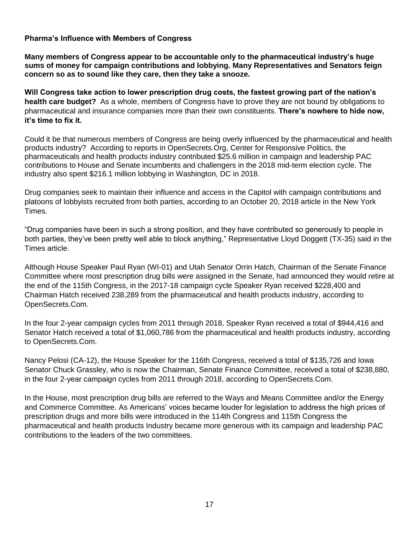## **Pharma's Influence with Members of Congress**

**Many members of Congress appear to be accountable only to the pharmaceutical industry's huge sums of money for campaign contributions and lobbying. Many Representatives and Senators feign concern so as to sound like they care, then they take a snooze.**

**Will Congress take action to lower prescription drug costs, the fastest growing part of the nation's health care budget?** As a whole, members of Congress have to prove they are not bound by obligations to pharmaceutical and insurance companies more than their own constituents. **There's nowhere to hide now, it's time to fix it.**

Could it be that numerous members of Congress are being overly influenced by the pharmaceutical and health products industry? According to reports in OpenSecrets.Org, Center for Responsive Politics, the pharmaceuticals and health products industry contributed \$25.6 million in campaign and leadership PAC contributions to House and Senate incumbents and challengers in the 2018 mid-term election cycle. The industry also spent \$216.1 million lobbying in Washington, DC in 2018.

Drug companies seek to maintain their influence and access in the Capitol with campaign contributions and platoons of lobbyists recruited from both parties, according to an October 20, 2018 article in the New York Times.

"Drug companies have been in such a strong position, and they have contributed so generously to people in both parties, they've been pretty well able to block anything," Representative Lloyd Doggett (TX-35) said in the Times article.

Although House Speaker Paul Ryan (WI-01) and Utah Senator Orrin Hatch, Chairman of the Senate Finance Committee where most prescription drug bills were assigned in the Senate, had announced they would retire at the end of the 115th Congress, in the 2017-18 campaign cycle Speaker Ryan received \$228,400 and Chairman Hatch received 238,289 from the pharmaceutical and health products industry, according to OpenSecrets.Com.

In the four 2-year campaign cycles from 2011 through 2018, Speaker Ryan received a total of \$944,416 and Senator Hatch received a total of \$1,060,786 from the pharmaceutical and health products industry, according to OpenSecrets.Com.

Nancy Pelosi (CA-12), the House Speaker for the 116th Congress, received a total of \$135,726 and Iowa Senator Chuck Grassley, who is now the Chairman, Senate Finance Committee, received a total of \$238,880, in the four 2-year campaign cycles from 2011 through 2018, according to OpenSecrets.Com.

In the House, most prescription drug bills are referred to the Ways and Means Committee and/or the Energy and Commerce Committee. As Americans' voices became louder for legislation to address the high prices of prescription drugs and more bills were introduced in the 114th Congress and 115th Congress the pharmaceutical and health products Industry became more generous with its campaign and leadership PAC contributions to the leaders of the two committees.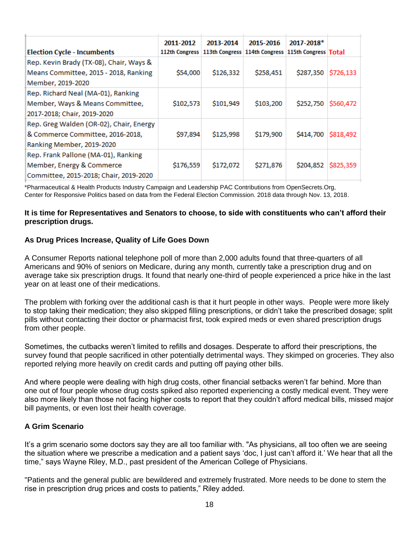| <b>Election Cycle - Incumbents</b>                                                                         | 2011-2012<br>112th Congress | 2013-2014 | 2015-2016<br>113th Congress 114th Congress 115th Congress Total | $2017 - 2018$ <sup>*</sup> |           |
|------------------------------------------------------------------------------------------------------------|-----------------------------|-----------|-----------------------------------------------------------------|----------------------------|-----------|
| Rep. Kevin Brady (TX-08), Chair, Ways &<br>Means Committee, 2015 - 2018, Ranking<br>Member, 2019-2020      | \$54,000                    | \$126,332 | \$258,451                                                       | \$287,350                  | \$726,133 |
| Rep. Richard Neal (MA-01), Ranking<br>Member, Ways & Means Committee,<br>2017-2018; Chair, 2019-2020       | \$102,573                   | \$101,949 | \$103,200                                                       | \$252,750                  | \$560,472 |
| Rep. Greg Walden (OR-02), Chair, Energy<br>& Commerce Committee, 2016-2018,<br>Ranking Member, 2019-2020   | \$97,894                    | \$125,998 | \$179,900                                                       | \$414,700                  | \$818,492 |
| Rep. Frank Pallone (MA-01), Ranking<br>Member, Energy & Commerce<br>Committee, 2015-2018; Chair, 2019-2020 | \$176,559                   | \$172,072 | \$271,876                                                       | \$204,852                  | \$825,359 |

\*Pharmaceutical & Health Products Industry Campaign and Leadership PAC Contributions from OpenSecrets.Org, Center for Responsive Politics based on data from the Federal Election Commission. 2018 data through Nov. 13, 2018.

## **It is time for Representatives and Senators to choose, to side with constituents who can't afford their prescription drugs.**

## **As Drug Prices Increase, Quality of Life Goes Down**

A Consumer Reports national telephone poll of more than 2,000 adults found that three-quarters of all Americans and 90% of seniors on Medicare, during any month, currently take a prescription drug and on average take six prescription drugs. It found that nearly one-third of people experienced a price hike in the last year on at least one of their medications.

The problem with forking over the additional cash is that it hurt people in other ways. People were more likely to stop taking their medication; they also skipped filling prescriptions, or didn't take the prescribed dosage; split pills without contacting their doctor or pharmacist first, took expired meds or even shared prescription drugs from other people.

Sometimes, the cutbacks weren't limited to refills and dosages. Desperate to afford their prescriptions, the survey found that people sacrificed in other potentially detrimental ways. They skimped on groceries. They also reported relying more heavily on credit cards and putting off paying other bills.

And where people were dealing with high drug costs, other financial setbacks weren't far behind. More than one out of four people whose drug costs spiked also reported experiencing a costly medical event. They were also more likely than those not facing higher costs to report that they couldn't afford medical bills, missed major bill payments, or even lost their health coverage.

# **A Grim Scenario**

It's a grim scenario some doctors say they are all too familiar with. "As physicians, all too often we are seeing the situation where we prescribe a medication and a patient says 'doc, I just can't afford it.' We hear that all the time," says Wayne Riley, M.D., past president of the American College of Physicians.

"Patients and the general public are bewildered and extremely frustrated. More needs to be done to stem the rise in prescription drug prices and costs to patients," Riley added.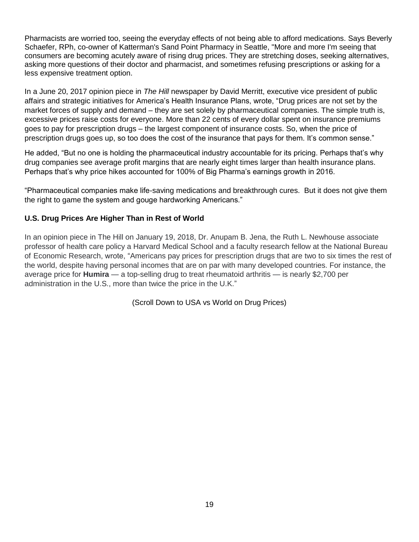Pharmacists are worried too, seeing the everyday effects of not being able to afford medications. Says Beverly Schaefer, RPh, co-owner of Katterman's Sand Point Pharmacy in Seattle, "More and more I'm seeing that consumers are becoming acutely aware of rising drug prices. They are stretching doses, seeking alternatives, asking more questions of their doctor and pharmacist, and sometimes refusing prescriptions or asking for a less expensive treatment option.

In a June 20, 2017 opinion piece in *The Hill* newspaper by David Merritt, executive vice president of public affairs and strategic initiatives for America's Health Insurance Plans, wrote, "Drug prices are not set by the market forces of supply and demand – they are set solely by pharmaceutical companies. The simple truth is, excessive prices raise costs for everyone. More than 22 cents of every dollar spent on insurance premiums goes to pay for prescription drugs – the largest component of insurance costs. So, when the price of prescription drugs goes up, so too does the cost of the insurance that pays for them. It's common sense."

He added, "But no one is holding the pharmaceutical industry accountable for its pricing. Perhaps that's why drug companies see average profit margins that are nearly eight times larger than health insurance plans. Perhaps that's why price hikes accounted for 100% of Big Pharma's earnings growth in 2016.

"Pharmaceutical companies make life-saving medications and breakthrough cures. But it does not give them the right to game the system and gouge hardworking Americans."

# **U.S. Drug Prices Are Higher Than in Rest of World**

In an opinion piece in The Hill on January 19, 2018, Dr. Anupam B. Jena, the Ruth L. Newhouse associate professor of health care policy a Harvard Medical School and a faculty research fellow at the National Bureau of Economic Research, wrote, "Americans pay prices for prescription drugs that are [two to six times](http://www.cnn.com/2015/09/28/health/us-pays-more-for-drugs/index.html) the rest of the world, despite having personal incomes that are on par with many developed countries. For instance, the average price for **Humira** — a top-selling drug to treat rheumatoid arthritis — is nearly [\\$2,700 per](https://www.vox.com/a/health-prices)  [administration](https://www.vox.com/a/health-prices) in the U.S., more than twice the price in the U.K."

(Scroll Down to USA vs World on Drug Prices)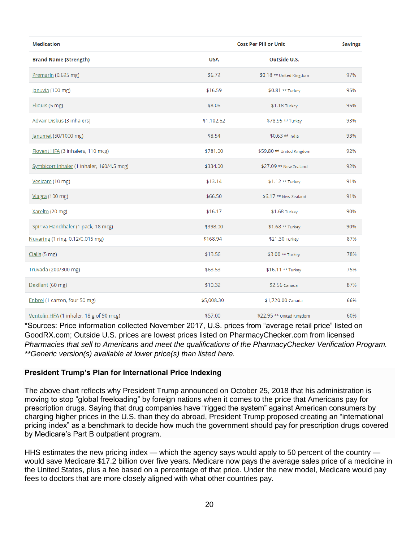| <b>Medication</b>                          |            | <b>Cost Per Pill or Unit</b> |     |
|--------------------------------------------|------------|------------------------------|-----|
| <b>Brand Name (Strength)</b>               | <b>USA</b> | <b>Outside U.S.</b>          |     |
| Premarin (0.625 mg)                        | \$6.72     | \$0.18 ** United Kingdom     | 97% |
| Januvia (100 mg)                           | \$16.59    | \$0.81 ** Turkey             | 95% |
| Eliquis (5 mg)                             | \$8.06     | \$1.18 Turkey                | 95% |
| Advair Diskus (3 inhalers)                 | \$1,102.62 | \$78.95 ** Turkey            | 93% |
| Janumet (50/1000 mg)                       | \$8.54     | $$0.63**$ India              | 93% |
| Flovent HFA (3 inhalers, 110 mcg)          | \$781.00   | \$59.80 ** United Kingdom    | 92% |
| Symbicort Inhaler (1 inhaler, 160/4.5 mcg) | \$334.00   | \$27.09 ** New Zealand       | 92% |
| Vesicare (10 mg)                           | \$13.14    | \$1.12 ** Turkey             | 91% |
| Viagra (100 mg)                            | \$66.50    | \$6.17 ** New Zealand        | 91% |
| Xarelto (20 mg)                            | \$16.17    | \$1.68 Turkey                | 90% |
| Spiriva Handihaler (1 pack, 18 mcg)        | \$398.00   | \$1.68 ** Turkey             | 90% |
| Nuvaring (1 ring, 0.12/0.015 mg)           | \$168.94   | \$21.30 Turkey               | 87% |
| Cialis (5 mg)                              | \$13.56    | \$3.00 ** Turkey             | 78% |
| Truvada (200/300 mg)                       | \$63.53    | \$16.11 ** Turkey            | 75% |
| Dexilant (60 mg)                           | \$10.32    | \$2.56 Canada                | 87% |
| Enbrel (1 carton, four 50 mg)              | \$5,008.30 | \$1,720.00 Canada            | 66% |
| Ventolin HFA (1 inhaler, 18 g of 90 mcg)   | \$57.00    | \$22.95 ** United Kingdom    | 60% |

\*Sources: Price information collected November 2017, U.S. prices from "average retail price" listed on GoodRX.com; Outside U.S. prices are lowest prices listed on PharmacyChecker.com from licensed *Pharmacies that sell to Americans and meet the qualifications of the PharmacyChecker Verification Program. \*\*Generic version(s) available at lower price(s) than listed here.*

## **President Trump's Plan for International Price Indexing**

The above chart reflects why President Trump announced on October 25, 2018 that his administration is moving to stop "global freeloading" by foreign nations when it comes to the price that Americans pay for prescription drugs. Saying that drug companies have "rigged the system" against American consumers by charging higher prices in the U.S. than they do abroad, President Trump proposed creating an "international pricing index" as a benchmark to decide how much the government should pay for prescription drugs covered by Medicare's Part B outpatient program.

HHS estimates the new pricing index — which the agency says would apply to 50 percent of the country would save Medicare \$17.2 billion over five years. Medicare now pays the average sales price of a medicine in the United States, plus a fee based on a percentage of that price. Under the new model, Medicare would pay fees to doctors that are more closely aligned with what other countries pay.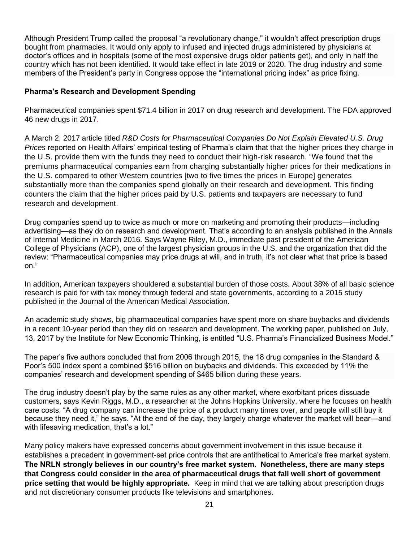Although President Trump called the proposal "a revolutionary change," it wouldn't affect prescription drugs bought from pharmacies. It would only apply to infused and injected drugs administered by physicians at doctor's offices and in hospitals (some of the most expensive drugs older patients get), and only in half the country which has not been identified. It would take effect in late 2019 or 2020. The drug industry and some members of the President's party in Congress oppose the "international pricing index" as price fixing.

# **Pharma's Research and Development Spending**

Pharmaceutical companies spent \$71.4 billion in 2017 on drug research and development. The FDA approved 46 new drugs in 2017.

A March 2, 2017 article titled *R&D Costs for Pharmaceutical Companies Do Not Explain Elevated U.S. Drug Prices* reported on Health Affairs' empirical testing of Pharma's claim that that the higher prices they charge in the U.S. provide them with the funds they need to conduct their high-risk research. "We found that the premiums pharmaceutical companies earn from charging substantially higher prices for their medications in the U.S. compared to other Western countries [two to five times the prices in Europe] generates substantially more than the companies spend globally on their research and development. This finding counters the claim that the higher prices paid by U.S. patients and taxpayers are necessary to fund research and development.

Drug companies spend up to twice as much or more on marketing and promoting their products—including advertising—as they do on research and development. That's according to an analysis published in the Annals of Internal Medicine in March 2016. Says Wayne Riley, M.D., immediate past president of the American College of Physicians (ACP), one of the largest physician groups in the U.S. and the organization that did the review: "Pharmaceutical companies may price drugs at will, and in truth, it's not clear what that price is based on."

In addition, American taxpayers shouldered a substantial burden of those costs. About 38% of all basic science research is paid for with tax money through federal and state governments, according to a 2015 study published in the Journal of the American Medical Association.

An academic study shows, big pharmaceutical companies have spent more on share buybacks and dividends in a recent 10-year period than they did on research and development. The working paper, published on July, 13, 2017 by the Institute for New Economic Thinking, is entitled "U.S. Pharma's Financialized Business Model."

The paper's five authors concluded that from 2006 through 2015, the 18 drug companies in the Standard & Poor's 500 index spent a combined \$516 billion on buybacks and dividends. This exceeded by 11% the companies' research and development spending of \$465 billion during these years.

The drug industry doesn't play by the same rules as any other market, where exorbitant prices dissuade customers, says Kevin Riggs, M.D., a researcher at the Johns Hopkins University, where he focuses on health care costs. "A drug company can increase the price of a product many times over, and people will still buy it because they need it," he says. "At the end of the day, they largely charge whatever the market will bear—and with lifesaving medication, that's a lot."

Many policy makers have expressed concerns about government involvement in this issue because it establishes a precedent in government-set price controls that are antithetical to America's free market system. **The NRLN strongly believes in our country's free market system. Nonetheless, there are many steps that Congress could consider in the area of pharmaceutical drugs that fall well short of government price setting that would be highly appropriate.** Keep in mind that we are talking about prescription drugs and not discretionary consumer products like televisions and smartphones.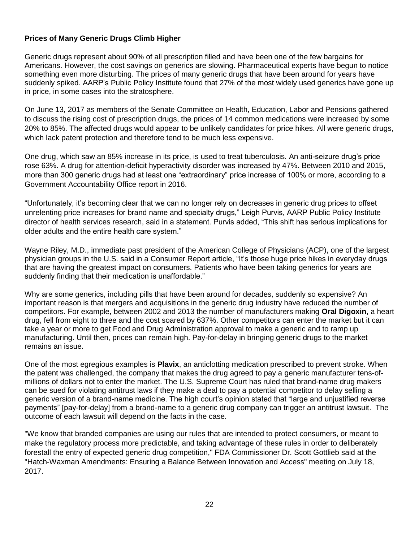## **Prices of Many Generic Drugs Climb Higher**

Generic drugs represent about 90% of all prescription filled and have been one of the few bargains for Americans. However, the cost savings on generics are slowing. Pharmaceutical experts have begun to notice something even more disturbing. The prices of many generic drugs that have been around for years have suddenly spiked. AARP's Public Policy Institute found that 27% of the most widely used generics have gone up in price, in some cases into the stratosphere.

On June 13, 2017 as members of the Senate Committee on Health, Education, Labor and Pensions gathered to discuss the rising cost of prescription drugs, the prices of 14 common medications were increased by some 20% to 85%. The affected drugs would appear to be unlikely candidates for price hikes. All were generic drugs, which lack patent protection and therefore tend to be much less expensive.

One drug, which saw an 85% increase in its price, is used to treat tuberculosis. An anti-seizure drug's price rose 63%. A drug for attention-deficit hyperactivity disorder was increased by 47%. Between 2010 and 2015, more than 300 generic drugs had at least one "extraordinary" price increase of 100% or more, according to a Government Accountability Office report in 2016.

"Unfortunately, it's becoming clear that we can no longer rely on decreases in generic drug prices to offset unrelenting price increases for brand name and specialty drugs," Leigh Purvis, AARP Public Policy Institute director of health services research, said in a statement. Purvis added, "This shift has serious implications for older adults and the entire health care system."

Wayne Riley, M.D., immediate past president of the American College of Physicians (ACP), one of the largest physician groups in the U.S. said in a Consumer Report article, "It's those huge price hikes in everyday drugs that are having the greatest impact on consumers. Patients who have been taking generics for years are suddenly finding that their medication is unaffordable."

Why are some generics, including pills that have been around for decades, suddenly so expensive? An important reason is that mergers and acquisitions in the generic drug industry have reduced the number of competitors. For example, between 2002 and 2013 the number of manufacturers making **Oral Digoxin**, a heart drug, fell from eight to three and the cost soared by 637%. Other competitors can enter the market but it can take a year or more to get Food and Drug Administration approval to make a generic and to ramp up manufacturing. Until then, prices can remain high. Pay-for-delay in bringing generic drugs to the market remains an issue.

One of the most egregious examples is **Plavix**, an anticlotting medication prescribed to prevent stroke. When the patent was challenged, the company that makes the drug agreed to pay a generic manufacturer tens-ofmillions of dollars not to enter the market. The U.S. Supreme Court has ruled that brand-name drug makers can be sued for violating antitrust laws if they make a deal to pay a potential competitor to delay selling a generic version of a brand-name medicine. The high court's opinion stated that "large and unjustified reverse payments" [pay-for-delay] from a brand-name to a generic drug company can trigger an antitrust lawsuit. The outcome of each lawsuit will depend on the facts in the case.

"We know that branded companies are using our rules that are intended to protect consumers, or meant to make the regulatory process more predictable, and taking advantage of these rules in order to deliberately forestall the entry of expected generic drug competition," FDA Commissioner Dr. Scott Gottlieb said at the "Hatch-Waxman Amendments: Ensuring a Balance Between Innovation and Access" meeting on July 18, 2017.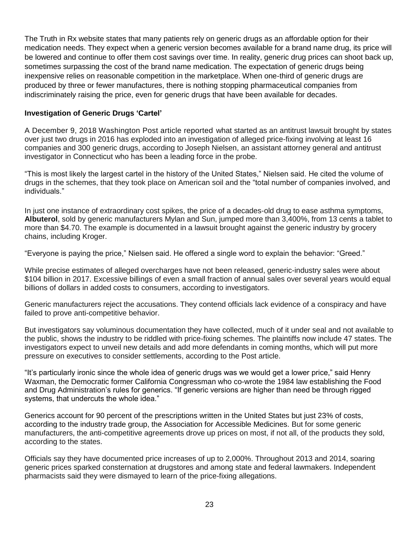The Truth in Rx website states that many patients rely on generic drugs as an affordable option for their medication needs. They expect when a generic version becomes available for a brand name drug, its price will be lowered and continue to offer them cost savings over time. In reality, generic drug prices can shoot back up, sometimes surpassing the cost of the brand name medication. The expectation of generic drugs being inexpensive relies on reasonable competition in the marketplace. When one-third of generic drugs are produced by three or fewer manufactures, there is nothing stopping pharmaceutical companies from indiscriminately raising the price, even for generic drugs that have been available for decades.

## **Investigation of Generic Drugs 'Cartel'**

A December 9, 2018 Washington Post article reported what started as an antitrust lawsuit brought by states over just two drugs in 2016 has exploded into an investigation of alleged price-fixing involving at least 16 companies and 300 generic drugs, according to Joseph Nielsen, an assistant attorney general and antitrust investigator in Connecticut who has been a leading force in the probe.

"This is most likely the largest cartel in the history of the United States," Nielsen said. He cited the volume of drugs in the schemes, that they took place on American soil and the "total number of companies involved, and individuals."

In just one instance of extraordinary cost spikes, the price of a decades-old drug to ease asthma symptoms, **Albuterol**, sold by generic manufacturers Mylan and Sun, jumped more than 3,400%, from 13 cents a tablet to more than \$4.70. The example is documented in a lawsuit brought against the generic industry by grocery chains, including Kroger.

"Everyone is paying the price," Nielsen said. He offered a single word to explain the behavior: "Greed."

While precise estimates of alleged overcharges have not been released, generic-industry sales were about \$104 billion in 2017. Excessive billings of even a small fraction of annual sales over several years would equal billions of dollars in added costs to consumers, according to investigators.

Generic manufacturers reject the accusations. They contend officials lack evidence of a conspiracy and have failed to prove anti-competitive behavior.

But investigators say voluminous documentation they have collected, much of it under seal and not available to the public, shows the industry to be riddled with price-fixing schemes. The plaintiffs now include 47 states. The investigators expect to unveil new details and add more defendants in coming months, which will put more pressure on executives to consider settlements, according to the Post article.

"It's particularly ironic since the whole idea of generic drugs was we would get a lower price," said Henry Waxman, the Democratic former California Congressman who co-wrote the 1984 law establishing the Food and Drug Administration's rules for generics. "If generic versions are higher than need be through rigged systems, that undercuts the whole idea."

Generics account for 90 percent of the prescriptions written in the United States but just 23% of costs, according to the industry trade group, the Association for Accessible Medicines. But for some generic manufacturers, the anti-competitive agreements drove up prices on most, if not all, of the products they sold, according to the states.

Officials say they have documented price increases of up to 2,000%. Throughout 2013 and 2014, soaring generic prices sparked consternation at drugstores and among state and federal lawmakers. Independent pharmacists said they were dismayed to learn of the price-fixing allegations.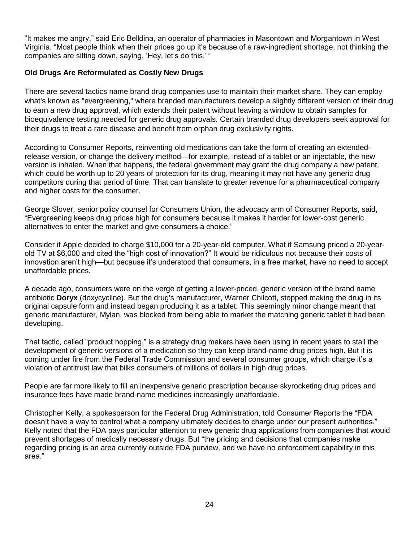"It makes me angry," said Eric Belldina, an operator of pharmacies in Masontown and Morgantown in West Virginia. "Most people think when their prices go up it's because of a raw-ingredient shortage, not thinking the companies are sitting down, saying, 'Hey, let's do this.' "

# **Old Drugs Are Reformulated as Costly New Drugs**

There are several tactics name brand drug companies use to maintain their market share. They can employ what's known as "evergreening," where branded manufacturers develop a slightly different version of their drug to earn a new drug approval, which extends their patent without leaving a window to obtain samples for bioequivalence testing needed for generic drug approvals. Certain branded drug developers seek approval for their drugs to treat a rare disease and benefit from orphan drug exclusivity rights.

According to Consumer Reports, reinventing old medications can take the form of creating an extendedrelease version, or change the delivery method—for example, instead of a tablet or an injectable, the new version is inhaled. When that happens, the federal government may grant the drug company a new patent, which could be worth up to 20 years of protection for its drug, meaning it may not have any generic drug competitors during that period of time. That can translate to greater revenue for a pharmaceutical company and higher costs for the consumer.

George Slover, senior policy counsel for Consumers Union, the advocacy arm of Consumer Reports, said, "Evergreening keeps drug prices high for consumers because it makes it harder for lower-cost generic alternatives to enter the market and give consumers a choice."

Consider if [Apple](http://www.forbes.com/companies/apple) decided to charge \$10,000 for a 20-year-old computer. What if Samsung priced a 20-yearold TV at \$6,000 and cited the "high cost of innovation?" It would be ridiculous not because their costs of innovation aren't high—but because it's understood that consumers, in a free market, have no need to accept unaffordable prices.

A decade ago, consumers were on the verge of getting a lower-priced, generic version of the brand name antibiotic **Doryx** (doxycycline). But the drug's manufacturer, Warner Chilcott, stopped making the drug in its original capsule form and instead began producing it as a tablet. This seemingly minor change meant that generic manufacturer, Mylan, was blocked from being able to market the matching generic tablet it had been developing.

That tactic, called "product hopping," is a strategy drug makers have been using in recent years to stall the development of generic versions of a medication so they can keep brand-name drug prices high. But it is coming under fire from the Federal Trade Commission and several consumer groups, which charge it's a violation of antitrust law that bilks consumers of millions of dollars in high drug prices.

People are far more likely to fill an inexpensive generic prescription because skyrocketing drug prices and insurance fees have made brand-name medicines increasingly unaffordable.

Christopher Kelly, a spokesperson for the Federal Drug Administration, told Consumer Reports the "FDA doesn't have a way to control what a company ultimately decides to charge under our present authorities." Kelly noted that the FDA pays particular attention to new generic drug applications from companies that would prevent shortages of medically necessary drugs. But "the pricing and decisions that companies make regarding pricing is an area currently outside FDA purview, and we have no enforcement capability in this area."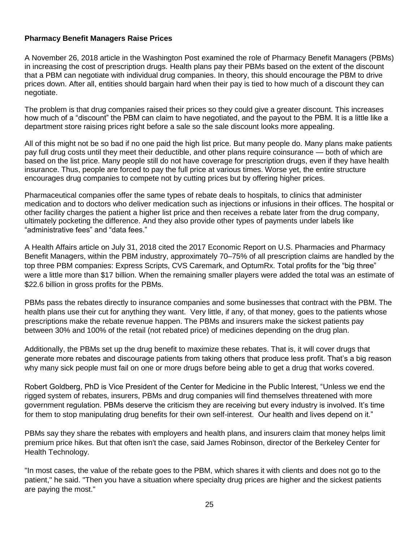## **Pharmacy Benefit Managers Raise Prices**

A November 26, 2018 article in the Washington Post examined the role of Pharmacy Benefit Managers (PBMs) in increasing the cost of prescription drugs. Health plans pay their PBMs based on the extent of the discount that a PBM can negotiate with individual drug companies. In theory, this should encourage the PBM to drive prices down. After all, entities should bargain hard when their pay is tied to how much of a discount they can negotiate.

The problem is that drug companies raised their prices so they could give a greater discount. This increases how much of a "discount" the PBM can claim to have negotiated, and the payout to the PBM. It is a little like a department store raising prices right before a sale so the sale discount looks more appealing.

All of this might not be so bad if no one paid the high list price. But many people do. Many plans make patients pay full drug costs until they meet their deductible, and other plans require coinsurance — both of which are based on the list price. Many people still do not have coverage for prescription drugs, even if they have health insurance. Thus, people are forced to pay the full price at various times. Worse yet, the entire structure encourages drug companies to compete not by cutting prices but by offering higher prices.

Pharmaceutical companies offer the same types of rebate deals to hospitals, to clinics that administer medication and to doctors who deliver medication such as injections or infusions in their offices. The hospital or other facility charges the patient a higher list price and then receives a rebate later from the drug company, ultimately pocketing the difference. And they also provide other types of payments under labels like "administrative fees" and "data fees."

A Health Affairs article on July 31, 2018 cited the 2017 Economic Report on U.S. Pharmacies and Pharmacy Benefit Managers, within the PBM industry, approximately [70–75%](http://drugchannelsinstitute.com/files/2017-PharmacyPBM-DCI-Overview.pdf) of all prescription claims are handled by the top three PBM companies: Express Scripts, CVS Caremark, and OptumRx. Total profits for the "big three" were a little more than \$17 billion. When the remaining smaller players were added the total was an estimate of \$22.6 billion in gross profits for the PBMs.

PBMs pass the rebates directly to insurance companies and some businesses that contract with the PBM. The health plans use their cut for anything they want. Very little, if any, of that money, goes to the patients whose prescriptions make the rebate revenue happen. The PBMs and insurers make the sickest patients pay between 30% and 100% of the retail (not rebated price) of medicines depending on the drug plan.

Additionally, the PBMs set up the drug benefit to maximize these rebates. That is, it will cover drugs that generate more rebates and discourage patients from taking others that produce less profit. That's a big reason why many sick people must fail on one or more drugs before being able to get a drug that works covered.

Robert Goldberg, PhD is Vice President of the Center for Medicine in the Public Interest, "Unless we end the rigged system of rebates, insurers, PBMs and drug companies will find themselves threatened with more government regulation. PBMs deserve the criticism they are receiving but every industry is involved. It's time for them to stop manipulating drug benefits for their own self-interest. Our health and lives depend on it."

PBMs say they share the rebates with employers and health plans, and insurers claim that money helps limit premium price hikes. But that often isn't the case, said James Robinson, director of the Berkeley Center for Health Technology.

"In most cases, the value of the rebate goes to the PBM, which shares it with clients and does not go to the patient," he said. "Then you have a situation where specialty drug prices are higher and the sickest patients are paying the most."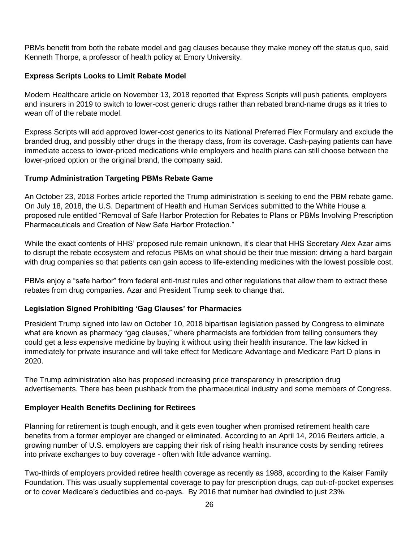PBMs benefit from both the rebate model and gag clauses because they make money off the status quo, said Kenneth Thorpe, a professor of health policy at Emory University.

# **Express Scripts Looks to Limit Rebate Model**

Modern Healthcare article on November 13, 2018 reported that Express Scripts will push patients, employers and insurers in 2019 to switch to lower-cost generic drugs rather than rebated brand-name drugs as it tries to wean off of the rebate model.

Express Scripts will add approved lower-cost generics to its National Preferred Flex Formulary and exclude the branded drug, and possibly other drugs in the therapy class, from its coverage. Cash-paying patients can have immediate access to lower-priced medications while employers and health plans can still choose between the lower-priced option or the original brand, the company said.

# **Trump Administration Targeting PBMs Rebate Game**

An October 23, 2018 Forbes article reported the Trump administration is seeking to end the PBM rebate game. On July 18, 2018, the U.S. Department of Health and Human Services submitted to the White House a proposed rule entitled "Removal of Safe Harbor Protection for Rebates to Plans or PBMs Involving Prescription Pharmaceuticals and Creation of New Safe Harbor Protection."

While the exact contents of HHS' proposed rule remain unknown, it's clear that HHS Secretary Alex Azar aims to disrupt the rebate ecosystem and refocus PBMs on what should be their true mission: driving a hard bargain with drug companies so that patients can gain access to life-extending medicines with the lowest possible cost.

PBMs enjoy a "safe harbor" from federal anti-trust rules and other regulations that allow them to extract these rebates from drug companies. Azar and President Trump seek to change that.

# **Legislation Signed Prohibiting 'Gag Clauses' for Pharmacie[s](https://www.pharmacytimes.com/conferences/ncpa-2018/legislation-signed-into-law-prohibiting-gag-clauses-for-pharmacies)**

President Trump signed into law on October 10, 2018 bipartisan legislation passed by Congress to eliminate what are known as pharmacy "gag clauses," where pharmacists are forbidden from telling consumers they could get a less expensive medicine by buying it without using their health insurance. The law kicked in immediately for private insurance and will take effect for Medicare Advantage and Medicare Part D plans in 2020.

The Trump administration also has proposed increasing price transparency in prescription drug advertisements. There has been pushback from the pharmaceutical industry and some members of Congress.

## **Employer Health Benefits Declining for Retirees**

Planning for retirement is tough enough, and it gets even tougher when promised retirement health care benefits from a former employer are changed or eliminated. According to an April 14, 2016 Reuters article, a growing number of U.S. employers are capping their risk of rising health insurance costs by sending retirees into private exchanges to buy coverage - often with little advance warning.

Two-thirds of employers provided retiree health coverage as recently as 1988, according to the Kaiser Family Foundation. This was usually supplemental coverage to pay for prescription drugs, cap out-of-pocket expenses or to cover Medicare's deductibles and co-pays. By 2016 that number had dwindled to just 23%.